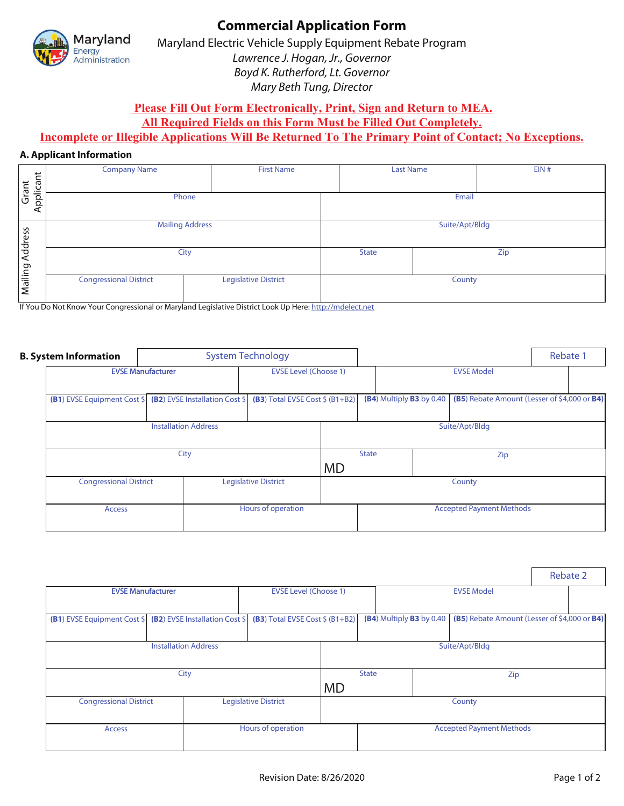

# **Commercial Application Form**

Maryland Electric Vehicle Supply Equipment Rebate Program Lawrence J. Hogan, Jr., Governor Boyd K. Rutherford, Lt. Governor Mary Beth Tung, Director

**Please Fill Out Form Electronically, Print, Sign and Return to MEA.** 

**All Required Fields on this Form Must be Filled Out Completely.** 

### **Incomplete or Illegible Applications Will Be Returned To The Primary Point of Contact; No Exceptions.**

### **A. Applicant Information**

|                           | <b>Company Name</b>                                                                                     | <b>First Name</b>           | <b>Last Name</b> |  | EIN# |  |  |
|---------------------------|---------------------------------------------------------------------------------------------------------|-----------------------------|------------------|--|------|--|--|
| plicant<br>Grant          |                                                                                                         |                             |                  |  |      |  |  |
| $\mathsf{A}^{\mathsf{D}}$ | Phone                                                                                                   | Email                       |                  |  |      |  |  |
| Address                   | <b>Mailing Address</b>                                                                                  |                             | Suite/Apt/Bldg   |  |      |  |  |
|                           | City                                                                                                    | Zip<br><b>State</b>         |                  |  |      |  |  |
| Mailing                   | <b>Congressional District</b>                                                                           | <b>Legislative District</b> | County           |  |      |  |  |
|                           | If You Do Not Know Your Congressional or Maryland Legislative District Look Up Here: http://mdelect.net |                             |                  |  |      |  |  |

| <b>B. System Information</b> |                                                                                                                            |  | <b>System Technology</b>                                         |              |                          |     |                                 |                                              | Rebate 1 |  |
|------------------------------|----------------------------------------------------------------------------------------------------------------------------|--|------------------------------------------------------------------|--------------|--------------------------|-----|---------------------------------|----------------------------------------------|----------|--|
|                              | <b>EVSE Manufacturer</b><br><b>(B1)</b> EVSE Equipment Cost $\frac{1}{2}$ <b>(B2)</b> EVSE Installation Cost $\frac{1}{2}$ |  | <b>EVSE Level (Choose 1)</b><br>(B3) Total EVSE Cost $$$ (B1+B2) |              | <b>EVSE Model</b>        |     |                                 |                                              |          |  |
|                              |                                                                                                                            |  |                                                                  |              | (B4) Multiply B3 by 0.40 |     |                                 | (B5) Rebate Amount (Lesser of \$4,000 or B4) |          |  |
|                              | <b>Installation Address</b>                                                                                                |  |                                                                  |              | Suite/Apt/Bldg           |     |                                 |                                              |          |  |
|                              | City                                                                                                                       |  |                                                                  | <b>State</b> |                          | Zip |                                 |                                              |          |  |
|                              |                                                                                                                            |  |                                                                  | <b>MD</b>    |                          |     |                                 |                                              |          |  |
|                              | <b>Congressional District</b><br><b>Access</b>                                                                             |  | <b>Legislative District</b>                                      |              | County                   |     |                                 |                                              |          |  |
|                              |                                                                                                                            |  | Hours of operation                                               |              |                          |     | <b>Accepted Payment Methods</b> |                                              |          |  |
|                              |                                                                                                                            |  |                                                                  |              |                          |     |                                 |                                              |          |  |

|                                                                          |  |                                  |                |  |                          |  |                                              |  | Rebate 2 |
|--------------------------------------------------------------------------|--|----------------------------------|----------------|--|--------------------------|--|----------------------------------------------|--|----------|
| <b>EVSE Manufacturer</b>                                                 |  | <b>EVSE Level (Choose 1)</b>     |                |  | <b>EVSE Model</b>        |  |                                              |  |          |
| <b>(B1)</b> EVSE Equipment Cost \$ <b>(B2)</b> EVSE Installation Cost \$ |  | (B3) Total EVSE Cost $$$ (B1+B2) |                |  | (B4) Multiply B3 by 0.40 |  | (B5) Rebate Amount (Lesser of \$4,000 or B4) |  |          |
|                                                                          |  |                                  | Suite/Apt/Bldg |  |                          |  |                                              |  |          |
|                                                                          |  | <b>State</b><br><b>MD</b>        |                |  | Zip                      |  |                                              |  |          |
| <b>Congressional District</b><br><b>Legislative District</b>             |  |                                  | County         |  |                          |  |                                              |  |          |
| Access                                                                   |  | Hours of operation               |                |  |                          |  | <b>Accepted Payment Methods</b>              |  |          |